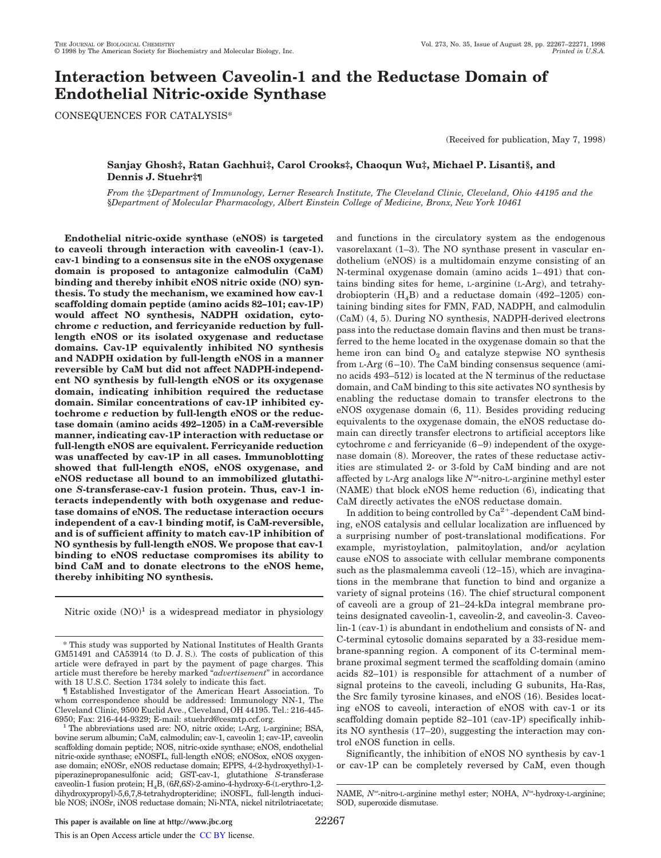# **Interaction between Caveolin-1 and the Reductase Domain of Endothelial Nitric-oxide Synthase**

CONSEQUENCES FOR CATALYSIS\*

(Received for publication, May 7, 1998)

# **Sanjay Ghosh‡, Ratan Gachhui‡, Carol Crooks‡, Chaoqun Wu‡, Michael P. Lisanti§, and Dennis J. Stuehr‡¶**

*From the* ‡*Department of Immunology, Lerner Research Institute, The Cleveland Clinic, Cleveland, Ohio 44195 and the* §*Department of Molecular Pharmacology, Albert Einstein College of Medicine, Bronx, New York 10461*

**Endothelial nitric-oxide synthase (eNOS) is targeted to caveoli through interaction with caveolin-1 (cav-1). cav-1 binding to a consensus site in the eNOS oxygenase domain is proposed to antagonize calmodulin (CaM) binding and thereby inhibit eNOS nitric oxide (NO) synthesis. To study the mechanism, we examined how cav-1 scaffolding domain peptide (amino acids 82–101; cav-1P) would affect NO synthesis, NADPH oxidation, cytochrome** *c* **reduction, and ferricyanide reduction by fulllength eNOS or its isolated oxygenase and reductase domains. Cav-1P equivalently inhibited NO synthesis and NADPH oxidation by full-length eNOS in a manner reversible by CaM but did not affect NADPH-independent NO synthesis by full-length eNOS or its oxygenase domain, indicating inhibition required the reductase domain. Similar concentrations of cav-1P inhibited cytochrome** *c* **reduction by full-length eNOS or the reductase domain (amino acids 492–1205) in a CaM-reversible manner, indicating cav-1P interaction with reductase or full-length eNOS are equivalent. Ferricyanide reduction was unaffected by cav-1P in all cases. Immunoblotting showed that full-length eNOS, eNOS oxygenase, and eNOS reductase all bound to an immobilized glutathione** *S***-transferase-cav-1 fusion protein. Thus, cav-1 interacts independently with both oxygenase and reductase domains of eNOS. The reductase interaction occurs independent of a cav-1 binding motif, is CaM-reversible, and is of sufficient affinity to match cav-1P inhibition of NO synthesis by full-length eNOS. We propose that cav-1 binding to eNOS reductase compromises its ability to bind CaM and to donate electrons to the eNOS heme, thereby inhibiting NO synthesis.**

Nitric oxide  $(NO)^1$  is a widespread mediator in physiology

\* This study was supported by National Institutes of Health Grants GM51491 and CA53914 (to D. J. S.). The costs of publication of this article were defrayed in part by the payment of page charges. This article must therefore be hereby marked "*advertisement*" in accordance with 18 U.S.C. Section 1734 solely to indicate this fact.

¶ Established Investigator of the American Heart Association. To whom correspondence should be addressed: Immunology NN-1, The Cleveland Clinic, 9500 Euclid Ave., Cleveland, OH 44195. Tel.: 216-445- 6950; Fax: 216-444-9329; E-mail: stuehrd@cesmtp.ccf.org.

<sup>1</sup> The abbreviations used are: NO, nitric oxide; L-Arg, L-arginine; BSA, bovine serum albumin; CaM, calmodulin; cav-1, caveolin 1; cav-1P, caveolin scaffolding domain peptide; NOS, nitric-oxide synthase; eNOS, endothelial nitric-oxide synthase; eNOSFL, full-length eNOS; eNOSox, eNOS oxygenase domain; eNOSr, eNOS reductase domain; EPPS, 4-(2-hydroxyethyl)-1 piperazinepropanesulfonic acid; GST-cav-1, glutathione *S*-transferase caveolin-1 fusion protein; H4B, (6*R*,6*S*)-2-amino-4-hydroxy-6-(L-erythro-1,2 dihydroxypropyl)-5,6,7,8-tetrahydropteridine; iNOSFL, full-length inducible NOS; iNOSr, iNOS reductase domain; Ni-NTA, nickel nitrilotriacetate;

and functions in the circulatory system as the endogenous vasorelaxant (1–3). The NO synthase present in vascular endothelium (eNOS) is a multidomain enzyme consisting of an N-terminal oxygenase domain (amino acids 1–491) that contains binding sites for heme, L-arginine (L-Arg), and tetrahydrobiopterin  $(H_4B)$  and a reductase domain (492–1205) containing binding sites for FMN, FAD, NADPH, and calmodulin (CaM) (4, 5). During NO synthesis, NADPH-derived electrons pass into the reductase domain flavins and then must be transferred to the heme located in the oxygenase domain so that the heme iron can bind  $O_2$  and catalyze stepwise NO synthesis from L-Arg (6–10). The CaM binding consensus sequence (amino acids 493–512) is located at the N terminus of the reductase domain, and CaM binding to this site activates NO synthesis by enabling the reductase domain to transfer electrons to the eNOS oxygenase domain (6, 11). Besides providing reducing equivalents to the oxygenase domain, the eNOS reductase domain can directly transfer electrons to artificial acceptors like cytochrome *c* and ferricyanide (6–9) independent of the oxygenase domain (8). Moreover, the rates of these reductase activities are stimulated 2- or 3-fold by CaM binding and are not affected by L-Arg analogs like  $N^\omega$ -nitro-L-arginine methyl ester (NAME) that block eNOS heme reduction (6), indicating that CaM directly activates the eNOS reductase domain.

In addition to being controlled by  $Ca^{2+}$ -dependent CaM binding, eNOS catalysis and cellular localization are influenced by a surprising number of post-translational modifications. For example, myristoylation, palmitoylation, and/or acylation cause eNOS to associate with cellular membrane components such as the plasmalemma caveoli (12–15), which are invaginations in the membrane that function to bind and organize a variety of signal proteins (16). The chief structural component of caveoli are a group of 21–24-kDa integral membrane proteins designated caveolin-1, caveolin-2, and caveolin-3. Caveolin-1 (cav-1) is abundant in endothelium and consists of N- and C-terminal cytosolic domains separated by a 33-residue membrane-spanning region. A component of its C-terminal membrane proximal segment termed the scaffolding domain (amino acids 82–101) is responsible for attachment of a number of signal proteins to the caveoli, including G subunits, Ha-Ras, the Src family tyrosine kinases, and eNOS (16). Besides locating eNOS to caveoli, interaction of eNOS with cav-1 or its scaffolding domain peptide 82–101 (cav-1P) specifically inhibits NO synthesis (17–20), suggesting the interaction may control eNOS function in cells.

Significantly, the inhibition of eNOS NO synthesis by cav-1 or cav-1P can be completely reversed by CaM, even though

NAME,  $N^{\omega}$ -nitro-L-arginine methyl ester; NOHA,  $N^{\omega}$ -hydroxy-L-arginine; SOD, superoxide dismutase.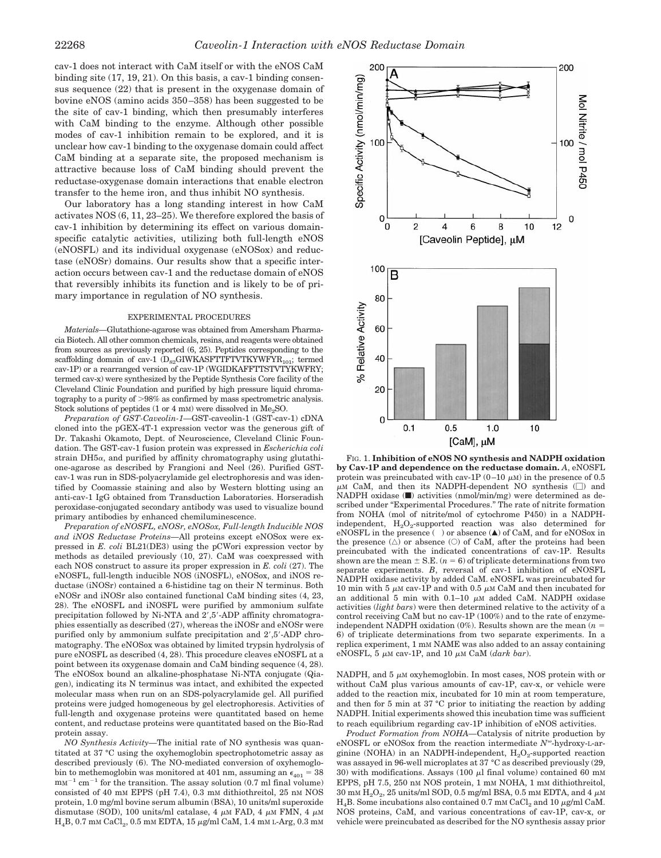cav-1 does not interact with CaM itself or with the eNOS CaM binding site (17, 19, 21). On this basis, a cav-1 binding consensus sequence (22) that is present in the oxygenase domain of bovine eNOS (amino acids 350–358) has been suggested to be the site of cav-1 binding, which then presumably interferes with CaM binding to the enzyme. Although other possible modes of cav-1 inhibition remain to be explored, and it is unclear how cav-1 binding to the oxygenase domain could affect CaM binding at a separate site, the proposed mechanism is attractive because loss of CaM binding should prevent the reductase-oxygenase domain interactions that enable electron transfer to the heme iron, and thus inhibit NO synthesis.

Our laboratory has a long standing interest in how CaM activates NOS (6, 11, 23–25). We therefore explored the basis of cav-1 inhibition by determining its effect on various domainspecific catalytic activities, utilizing both full-length eNOS (eNOSFL) and its individual oxygenase (eNOSox) and reductase (eNOSr) domains. Our results show that a specific interaction occurs between cav-1 and the reductase domain of eNOS that reversibly inhibits its function and is likely to be of primary importance in regulation of NO synthesis.

## EXPERIMENTAL PROCEDURES

*Materials—*Glutathione-agarose was obtained from Amersham Pharmacia Biotech. All other common chemicals, resins, and reagents were obtained from sources as previously reported (6, 25). Peptides corresponding to the scaffolding domain of cav-1  $(D_{82}GIWKASFTTFTVTKYWFYR_{101};$  termed cav-1P) or a rearranged version of cav-1P (WGIDKAFFTTSTVTYKWFRY; termed cav-x) were synthesized by the Peptide Synthesis Core facility of the Cleveland Clinic Foundation and purified by high pressure liquid chromatography to a purity of  $>98\%$  as confirmed by mass spectrometric analysis. Stock solutions of peptides  $(1 \text{ or } 4 \text{ mm})$  were dissolved in Me<sub>2</sub>SO.

*Preparation of GST-Caveolin-1—*GST-caveolin-1 (GST-cav-1) cDNA cloned into the pGEX-4T-1 expression vector was the generous gift of Dr. Takashi Okamoto, Dept. of Neuroscience, Cleveland Clinic Foundation. The GST-cav-1 fusion protein was expressed in *Escherichia coli* strain  $DH5\alpha$ , and purified by affinity chromatography using glutathione-agarose as described by Frangioni and Neel (26). Purified GSTcav-1 was run in SDS-polyacrylamide gel electrophoresis and was identified by Coomassie staining and also by Western blotting using an anti-cav-1 IgG obtained from Transduction Laboratories. Horseradish peroxidase-conjugated secondary antibody was used to visualize bound primary antibodies by enhanced chemiluminescence.

*Preparation of eNOSFL, eNOSr, eNOSox, Full-length Inducible NOS and iNOS Reductase Proteins—*All proteins except eNOSox were expressed in *E. coli* BL21(DE3) using the pCWori expression vector by methods as detailed previously (10, 27). CaM was coexpressed with each NOS construct to assure its proper expression in *E. coli* (27). The eNOSFL, full-length inducible NOS (iNOSFL), eNOSox, and iNOS reductase (iNOSr) contained a 6-histidine tag on their N terminus. Both eNOSr and iNOSr also contained functional CaM binding sites (4, 23, 28). The eNOSFL and iNOSFL were purified by ammonium sulfate precipitation followed by Ni-NTA and  $2^{\prime}$ ,5'-ADP affinity chromatographies essentially as described (27), whereas the iNOSr and eNOSr were purified only by ammonium sulfate precipitation and  $2^{\prime}$ ,  $5^{\prime}$ -ADP chromatography. The eNOSox was obtained by limited trypsin hydrolysis of pure eNOSFL as described (4, 28). This procedure cleaves eNOSFL at a point between its oxygenase domain and CaM binding sequence (4, 28). The eNOSox bound an alkaline-phosphatase Ni-NTA conjugate (Qiagen), indicating its N terminus was intact, and exhibited the expected molecular mass when run on an SDS-polyacrylamide gel. All purified proteins were judged homogeneous by gel electrophoresis. Activities of full-length and oxygenase proteins were quantitated based on heme content, and reductase proteins were quantitated based on the Bio-Rad protein assay.

*NO Synthesis Activity—*The initial rate of NO synthesis was quantitated at 37 °C using the oxyhemoglobin spectrophotometric assay as described previously (6). The NO-mediated conversion of oxyhemoglobin to methemoglobin was monitored at 401 nm, assuming an  $\epsilon_{401} = 38$  $\text{mm}^{-1}$  cm<sup>-1</sup> for the transition. The assay solution (0.7 ml final volume) consisted of 40 mM EPPS (pH 7.4), 0.3 mM dithiothreitol, 25 nM NOS protein, 1.0 mg/ml bovine serum albumin (BSA), 10 units/ml superoxide dismutase (SOD), 100 units/ml catalase, 4  $\mu$ M FAD, 4  $\mu$ M FMN, 4  $\mu$ M  $\rm H_4B, 0.7$  mm  $\rm CaCl_2$ , 0.5 mm EDTA, 15  $\mu$ g/ml CaM, 1.4 mm L-Arg, 0.3 mm



FIG. 1. **Inhibition of eNOS NO synthesis and NADPH oxidation by Cav-1P and dependence on the reductase domain.** *A*, eNOSFL protein was preincubated with cav-1P (0–10  $\mu$ M) in the presence of 0.5  $\mu$ M CaM, and then its NADPH-dependent NO synthesis ( $\square$ ) and NADPH oxidase ( $\blacksquare$ ) activities (nmol/min/mg) were determined as described under "Experimental Procedures." The rate of nitrite formation from NOHA (mol of nitrite/mol of cytochrome P450) in a NADPHindependent,  $\text{H}_{2}\text{O}_{2}$ -supported reaction was also determined for eNOSFL in the presence ( ) or absence  $(\blacktriangle)$  of CaM, and for eNOSox in the presence  $(\triangle)$  or absence  $(\triangle)$  of CaM, after the proteins had been preincubated with the indicated concentrations of cav-1P. Results shown are the mean  $\pm$  S.E. ( $n = 6$ ) of triplicate determinations from two separate experiments. *B*, reversal of cav-1 inhibition of eNOSFL NADPH oxidase activity by added CaM. eNOSFL was preincubated for 10 min with 5  $\mu$ M cav-1P and with 0.5  $\mu$ M CaM and then incubated for an additional 5 min with  $0.1-10$   $\mu$ M added CaM. NADPH oxidase activities (*light bars*) were then determined relative to the activity of a control receiving CaM but no cav-1P (100%) and to the rate of enzymeindependent NADPH oxidation (0%). Results shown are the mean  $(n =$ 6) of triplicate determinations from two separate experiments. In a replica experiment, 1 mM NAME was also added to an assay containing eNOSFL,  $5 \mu M$  cav-1P, and  $10 \mu M$  CaM (*dark bar*).

NADPH, and  $5 \mu M$  oxyhemoglobin. In most cases, NOS protein with or without CaM plus various amounts of cav-1P, cav-x, or vehicle were added to the reaction mix, incubated for 10 min at room temperature, and then for 5 min at 37 °C prior to initiating the reaction by adding NADPH. Initial experiments showed this incubation time was sufficient to reach equilibrium regarding cav-1P inhibition of eNOS activities.

*Product Formation from NOHA—*Catalysis of nitrite production by eNOSFL or eNOSox from the reaction intermediate  $N^{\omega}$ -hydroxy-L-arginine (NOHA) in an NADPH-independent,  $H_2O_2$ -supported reaction was assayed in 96-well microplates at 37 °C as described previously (29, 30) with modifications. Assays (100  $\mu$ l final volume) contained 60 mM EPPS, pH 7.5, 250 nM NOS protein, 1 mM NOHA, 1 mM dithiothreitol,  $30$  mm  $\rm H_2O_2$ ,  $25$  units/ml  $\rm SOD,$   $0.5$  mg/ml  $\rm BSA,$   $0.5$  mm  $\rm EDTA,$  and  $4$   $\mu$ m  $H_4B$ . Some incubations also contained 0.7 mM CaCl<sub>2</sub> and 10  $\mu$ g/ml CaM. NOS proteins, CaM, and various concentrations of cav-1P, cav-x, or vehicle were preincubated as described for the NO synthesis assay prior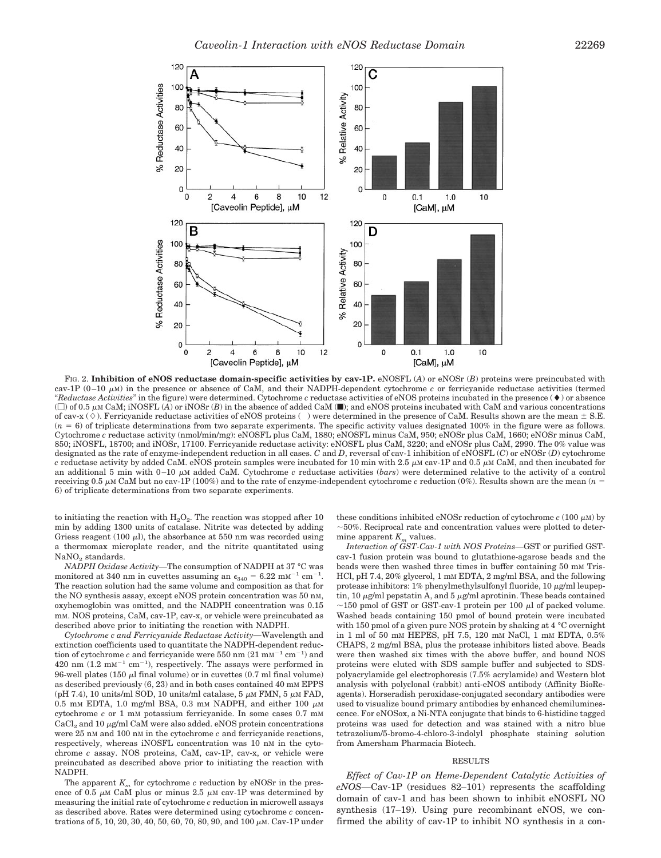

FIG. 2. **Inhibition of eNOS reductase domain-specific activities by cav-1P.** eNOSFL (*A*) or eNOSr (*B*) proteins were preincubated with cav-1P  $(0-10 \mu M)$  in the presence or absence of CaM, and their NADPH-dependent cytochrome *c* or ferricyanide reductase activities (termed  $"Reductase Activities"$  in the figure) were determined. Cytochrome *c* reductase activities of eNOS proteins incubated in the presence ( $\blacklozenge$ ) or absence  $(\Box)$  of 0.5  $\mu$ M CaM; iNOSFL (*A*) or iNOSr (*B*) in the absence of added CaM ( $\Box$ ); and eNOS proteins incubated with CaM and various concentrations of cav-x ( $\Diamond$ ). Ferricyanide reductase activities of eNOS proteins () were determined in the presence of CaM. Results shown are the mean  $\pm$  S.E.  $(n = 6)$  of triplicate determinations from two separate experiments. The specific activity values designated 100% in the figure were as follows. Cytochrome *c* reductase activity (nmol/min/mg): eNOSFL plus CaM, 1880; eNOSFL minus CaM, 950; eNOSr plus CaM, 1660; eNOSr minus CaM, 850; iNOSFL, 18700; and iNOSr, 17100. Ferricyanide reductase activity: eNOSFL plus CaM, 3220; and eNOSr plus CaM, 2990. The 0% value was designated as the rate of enzyme-independent reduction in all cases. *C* and *D*, reversal of cav-1 inhibition of eNOSFL (*C*) or eNOSr (*D*) cytochrome  $c$  reductase activity by added CaM. eNOS protein samples were incubated for 10 min with 2.5  $\mu$ M cav-1P and 0.5  $\mu$ M CaM, and then incubated for an additional 5 min with  $0-10 \mu$ M added CaM. Cytochrome c reductase activities (*bars*) were determined relative to the activity of a control receiving 0.5  $\mu$ M CaM but no cav-1P (100%) and to the rate of enzyme-independent cytochrome *c* reduction (0%). Results shown are the mean ( $n =$ 6) of triplicate determinations from two separate experiments.

to initiating the reaction with  $H_2O_2$ . The reaction was stopped after 10 min by adding 1300 units of catalase. Nitrite was detected by adding Griess reagent (100  $\mu$ l), the absorbance at 550 nm was recorded using a thermomax microplate reader, and the nitrite quantitated using  $\text{NaNO}_2$  standards.

*NADPH Oxidase Activity—*The consumption of NADPH at 37 °C was monitored at 340 nm in cuvettes assuming an  $\epsilon_{340} = 6.22 \text{ mm}^{-1} \text{ cm}^{-1}$ . The reaction solution had the same volume and composition as that for the NO synthesis assay, except eNOS protein concentration was 50 nM, oxyhemoglobin was omitted, and the NADPH concentration was 0.15 mM. NOS proteins, CaM, cav-1P, cav-x, or vehicle were preincubated as described above prior to initiating the reaction with NADPH.

*Cytochrome c and Ferricyanide Reductase Activity—*Wavelength and extinction coefficients used to quantitate the NADPH-dependent reduction of cytochrome *c* and ferricyanide were 550 nm  $(21 \text{ mm}^{-1} \text{ cm}^{-1})$  and  $420 \text{ nm}$   $(1.2 \text{ mm}^{-1} \text{ cm}^{-1})$ , respectively. The assays were performed in 96-well plates (150  $\mu$ l final volume) or in cuvettes (0.7 ml final volume) as described previously (6, 23) and in both cases contained 40 mM EPPS (pH 7.4), 10 units/ml SOD, 10 units/ml catalase,  $5 \mu M$  FMN,  $5 \mu M$  FAD, 0.5 mM EDTA, 1.0 mg/ml BSA, 0.3 mM NADPH, and either 100  $\mu$ M cytochrome *c* or 1 mM potassium ferricyanide. In some cases 0.7 mM  $CaCl<sub>2</sub>$  and 10  $\mu$ g/ml CaM were also added. eNOS protein concentrations were 25 nM and 100 nM in the cytochrome *c* and ferricyanide reactions, respectively, whereas iNOSFL concentration was 10 nM in the cytochrome *c* assay. NOS proteins, CaM, cav-1P, cav-x, or vehicle were preincubated as described above prior to initiating the reaction with NADPH.

The apparent  $K_m$  for cytochrome  $c$  reduction by eNOSr in the presence of 0.5  $\mu$ M CaM plus or minus 2.5  $\mu$ M cav-1P was determined by measuring the initial rate of cytochrome *c* reduction in microwell assays as described above. Rates were determined using cytochrome *c* concentrations of 5, 10, 20, 30, 40, 50, 60, 70, 80, 90, and 100  $\mu$ M. Cav-1P under

these conditions inhibited eNOSr reduction of cytochrome  $c(100 \mu M)$  by  $\sim$  50%. Reciprocal rate and concentration values were plotted to determine apparent  $K_m$  values.

*Interaction of GST-Cav-1 with NOS Proteins—*GST or purified GSTcav-1 fusion protein was bound to glutathione-agarose beads and the beads were then washed three times in buffer containing 50 mM Tris-HCl, pH 7.4, 20% glycerol, 1 mm EDTA, 2 mg/ml BSA, and the following protease inhibitors:  $1\%$  phenylmethylsulfonyl fluoride,  $10 \mu$ g/ml leupeptin, 10  $\mu$ g/ml pepstatin A, and 5  $\mu$ g/ml aprotinin. These beads contained  $\approx$  150 pmol of GST or GST-cav-1 protein per 100  $\mu$ l of packed volume. Washed beads containing 150 pmol of bound protein were incubated with 150 pmol of a given pure NOS protein by shaking at 4 °C overnight in 1 ml of 50 mM HEPES, pH 7.5, 120 mM NaCl, 1 mM EDTA, 0.5% CHAPS, 2 mg/ml BSA, plus the protease inhibitors listed above. Beads were then washed six times with the above buffer, and bound NOS proteins were eluted with SDS sample buffer and subjected to SDSpolyacrylamide gel electrophoresis (7.5% acrylamide) and Western blot analysis with polyclonal (rabbit) anti-eNOS antibody (Affinity BioReagents). Horseradish peroxidase-conjugated secondary antibodies were used to visualize bound primary antibodies by enhanced chemiluminescence. For eNOSox, a Ni-NTA conjugate that binds to 6-histidine tagged proteins was used for detection and was stained with a nitro blue tetrazolium/5-bromo-4-chloro-3-indolyl phosphate staining solution from Amersham Pharmacia Biotech.

## RESULTS

*Effect of Cav-1P on Heme-Dependent Catalytic Activities of eNOS—*Cav-1P (residues 82–101) represents the scaffolding domain of cav-1 and has been shown to inhibit eNOSFL NO synthesis (17–19). Using pure recombinant eNOS, we confirmed the ability of cav-1P to inhibit NO synthesis in a con-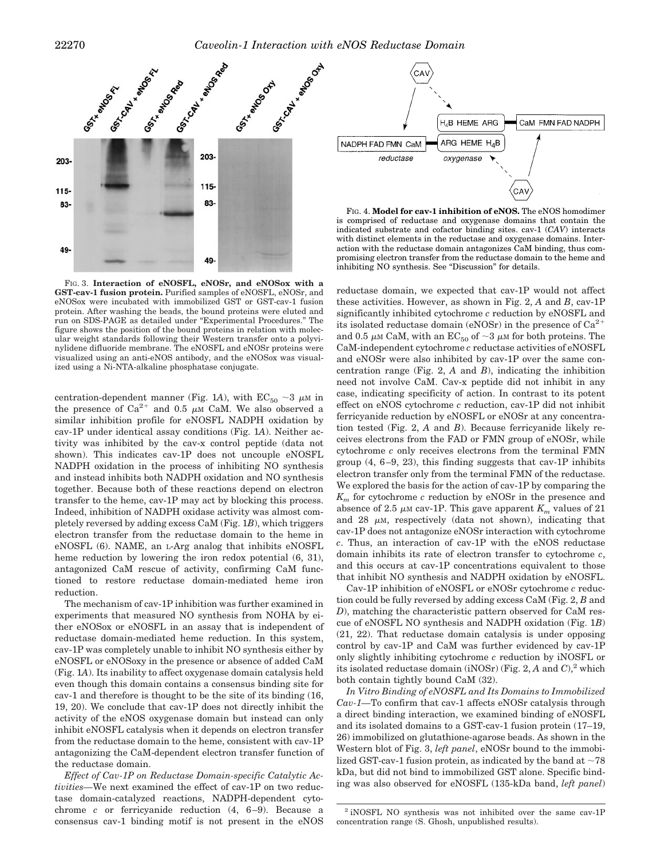

FIG. 3. **Interaction of eNOSFL, eNOSr, and eNOSox with a GST-cav-1 fusion protein.** Purified samples of eNOSFL, eNOSr, and eNOSox were incubated with immobilized GST or GST-cav-1 fusion protein. After washing the beads, the bound proteins were eluted and run on SDS-PAGE as detailed under "Experimental Procedures." The figure shows the position of the bound proteins in relation with molecular weight standards following their Western transfer onto a polyvinylidene difluoride membrane. The eNOSFL and eNOSr proteins were visualized using an anti-eNOS antibody, and the eNOSox was visualized using a Ni-NTA-alkaline phosphatase conjugate.

centration-dependent manner (Fig. 1A), with  $EC_{50} \sim 3 \mu M$  in the presence of  $Ca^{2+}$  and 0.5  $\mu$ <sub>M</sub> CaM. We also observed a similar inhibition profile for eNOSFL NADPH oxidation by cav-1P under identical assay conditions (Fig. 1*A*). Neither activity was inhibited by the cav-x control peptide (data not shown). This indicates cav-1P does not uncouple eNOSFL NADPH oxidation in the process of inhibiting NO synthesis and instead inhibits both NADPH oxidation and NO synthesis together. Because both of these reactions depend on electron transfer to the heme, cav-1P may act by blocking this process. Indeed, inhibition of NADPH oxidase activity was almost completely reversed by adding excess CaM (Fig. 1*B*), which triggers electron transfer from the reductase domain to the heme in eNOSFL (6). NAME, an L-Arg analog that inhibits eNOSFL heme reduction by lowering the iron redox potential (6, 31), antagonized CaM rescue of activity, confirming CaM functioned to restore reductase domain-mediated heme iron reduction.

The mechanism of cav-1P inhibition was further examined in experiments that measured NO synthesis from NOHA by either eNOSox or eNOSFL in an assay that is independent of reductase domain-mediated heme reduction. In this system, cav-1P was completely unable to inhibit NO synthesis either by eNOSFL or eNOSoxy in the presence or absence of added CaM (Fig. 1*A*). Its inability to affect oxygenase domain catalysis held even though this domain contains a consensus binding site for cav-1 and therefore is thought to be the site of its binding (16, 19, 20). We conclude that cav-1P does not directly inhibit the activity of the eNOS oxygenase domain but instead can only inhibit eNOSFL catalysis when it depends on electron transfer from the reductase domain to the heme, consistent with cav-1P antagonizing the CaM-dependent electron transfer function of the reductase domain.

*Effect of Cav-1P on Reductase Domain-specific Catalytic Activities—*We next examined the effect of cav-1P on two reductase domain-catalyzed reactions, NADPH-dependent cytochrome *c* or ferricyanide reduction (4, 6–9). Because a consensus cav-1 binding motif is not present in the eNOS



FIG. 4. **Model for cav-1 inhibition of eNOS.** The eNOS homodimer is comprised of reductase and oxygenase domains that contain the indicated substrate and cofactor binding sites. cav-1 (*CAV*) interacts with distinct elements in the reductase and oxygenase domains. Interaction with the reductase domain antagonizes CaM binding, thus compromising electron transfer from the reductase domain to the heme and inhibiting NO synthesis. See "Discussion" for details.

reductase domain, we expected that cav-1P would not affect these activities. However, as shown in Fig. 2, *A* and *B*, cav-1P significantly inhibited cytochrome *c* reduction by eNOSFL and its isolated reductase domain (eNOSr) in the presence of  $Ca^{2+}$ and 0.5  $\mu$ M CaM, with an EC<sub>50</sub> of  $\sim$ 3  $\mu$ M for both proteins. The CaM-independent cytochrome *c* reductase activities of eNOSFL and eNOSr were also inhibited by cav-1P over the same concentration range (Fig. 2, *A* and *B*), indicating the inhibition need not involve CaM. Cav-x peptide did not inhibit in any case, indicating specificity of action. In contrast to its potent effect on eNOS cytochrome *c* reduction, cav-1P did not inhibit ferricyanide reduction by eNOSFL or eNOSr at any concentration tested (Fig. 2, *A* and *B*). Because ferricyanide likely receives electrons from the FAD or FMN group of eNOSr, while cytochrome *c* only receives electrons from the terminal FMN group (4, 6–9, 23), this finding suggests that cav-1P inhibits electron transfer only from the terminal FMN of the reductase. We explored the basis for the action of cav-1P by comparing the *K<sup>m</sup>* for cytochrome *c* reduction by eNOSr in the presence and absence of 2.5  $\mu$ M cav-1P. This gave apparent  $K_m$  values of 21 and 28  $\mu$ M, respectively (data not shown), indicating that cav-1P does not antagonize eNOSr interaction with cytochrome *c*. Thus, an interaction of cav-1P with the eNOS reductase domain inhibits its rate of electron transfer to cytochrome *c*, and this occurs at cav-1P concentrations equivalent to those that inhibit NO synthesis and NADPH oxidation by eNOSFL.

Cav-1P inhibition of eNOSFL or eNOSr cytochrome *c* reduction could be fully reversed by adding excess CaM (Fig. 2, *B* and *D*), matching the characteristic pattern observed for CaM rescue of eNOSFL NO synthesis and NADPH oxidation (Fig. 1*B*) (21, 22). That reductase domain catalysis is under opposing control by cav-1P and CaM was further evidenced by cav-1P only slightly inhibiting cytochrome *c* reduction by iNOSFL or its isolated reductase domain (iNOSr) (Fig. 2,  $A$  and  $C$ ),<sup>2</sup> which both contain tightly bound CaM (32).

*In Vitro Binding of eNOSFL and Its Domains to Immobilized Cav-1—*To confirm that cav-1 affects eNOSr catalysis through a direct binding interaction, we examined binding of eNOSFL and its isolated domains to a GST-cav-1 fusion protein (17–19, 26) immobilized on glutathione-agarose beads. As shown in the Western blot of Fig. 3, *left panel*, eNOSr bound to the immobilized GST-cav-1 fusion protein, as indicated by the band at  $\sim$ 78 kDa, but did not bind to immobilized GST alone. Specific binding was also observed for eNOSFL (135-kDa band, *left panel*)

<sup>2</sup> iNOSFL NO synthesis was not inhibited over the same cav-1P concentration range (S. Ghosh, unpublished results).